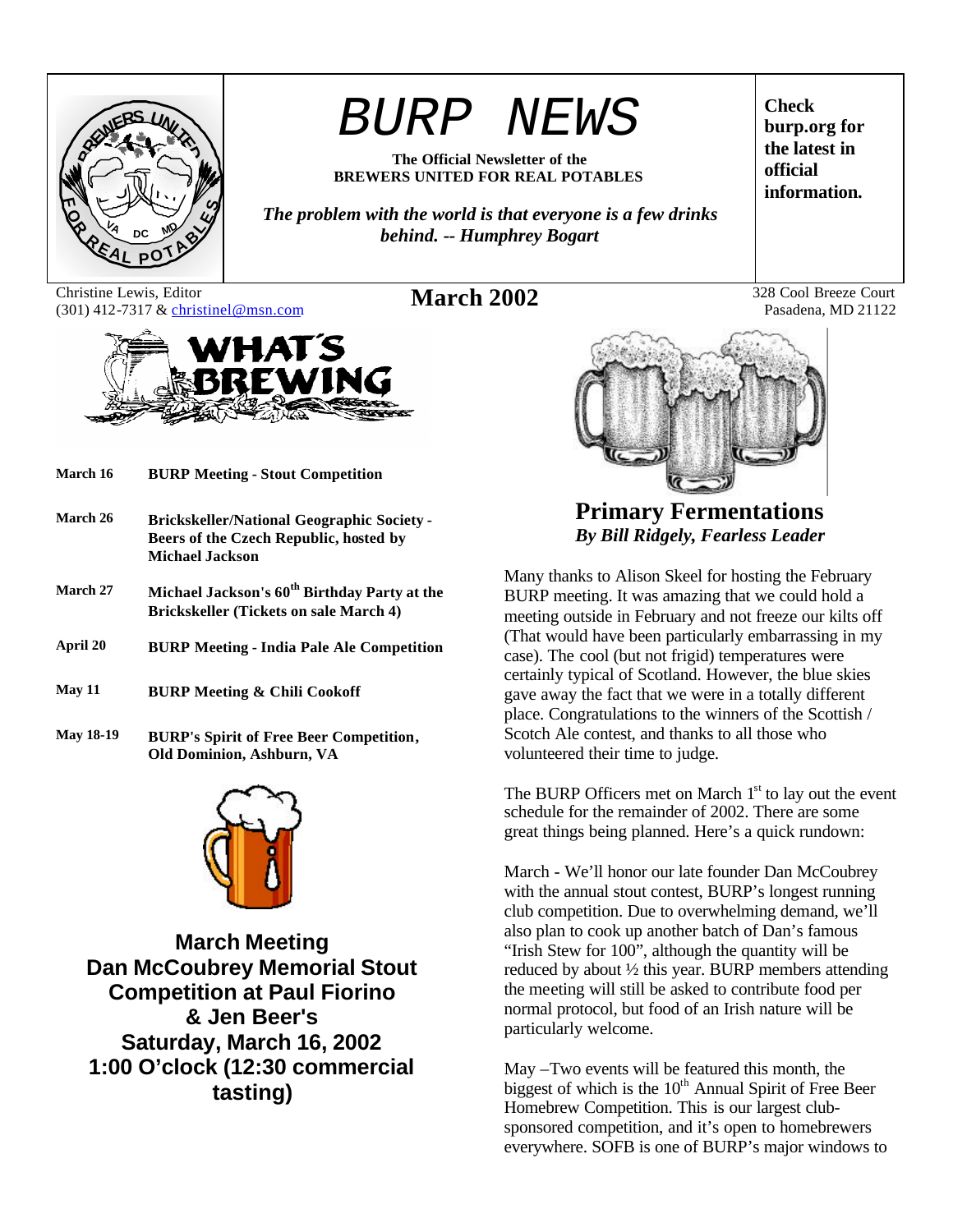

# *BURP NEWS*

**The Official Newsletter of the BREWERS UNITED FOR REAL POTABLES**

*The problem with the world is that everyone is a few drinks behind. -- Humphrey Bogart*

Christine Lewis, Editor Christine Lewis, Editor **March 2002** 328 Cool Breeze Court (301) 412-7317 & christinel@msn.com **March 2002** 328 Cool Breeze Court



- **March 16 BURP Meeting Stout Competition**
- **March 26 Brickskeller/National Geographic Society - Beers of the Czech Republic, hosted by Michael Jackson**
- **March 27 Michael Jackson's 60th Birthday Party at the Brickskeller (Tickets on sale March 4)**
- **April 20 BURP Meeting India Pale Ale Competition**
- **May 11 BURP Meeting & Chili Cookoff**
- **May 18-19 BURP's Spirit of Free Beer Competition, Old Dominion, Ashburn, VA**



**March Meeting Dan McCoubrey Memorial Stout Competition at Paul Fiorino & Jen Beer's Saturday, March 16, 2002 1:00 O'clock (12:30 commercial tasting)**

**Check burp.org for the latest in official information.**

Pasadena, MD 21122



**Primary Fermentations** *By Bill Ridgely, Fearless Leader*

Many thanks to Alison Skeel for hosting the February BURP meeting. It was amazing that we could hold a meeting outside in February and not freeze our kilts off (That would have been particularly embarrassing in my case). The cool (but not frigid) temperatures were certainly typical of Scotland. However, the blue skies gave away the fact that we were in a totally different place. Congratulations to the winners of the Scottish / Scotch Ale contest, and thanks to all those who volunteered their time to judge.

The BURP Officers met on March  $1<sup>st</sup>$  to lay out the event schedule for the remainder of 2002. There are some great things being planned. Here's a quick rundown:

March - We'll honor our late founder Dan McCoubrey with the annual stout contest, BURP's longest running club competition. Due to overwhelming demand, we'll also plan to cook up another batch of Dan's famous "Irish Stew for 100", although the quantity will be reduced by about ½ this year. BURP members attending the meeting will still be asked to contribute food per normal protocol, but food of an Irish nature will be particularly welcome.

May –Two events will be featured this month, the biggest of which is the  $10<sup>th</sup>$  Annual Spirit of Free Beer Homebrew Competition. This is our largest clubsponsored competition, and it's open to homebrewers everywhere. SOFB is one of BURP's major windows to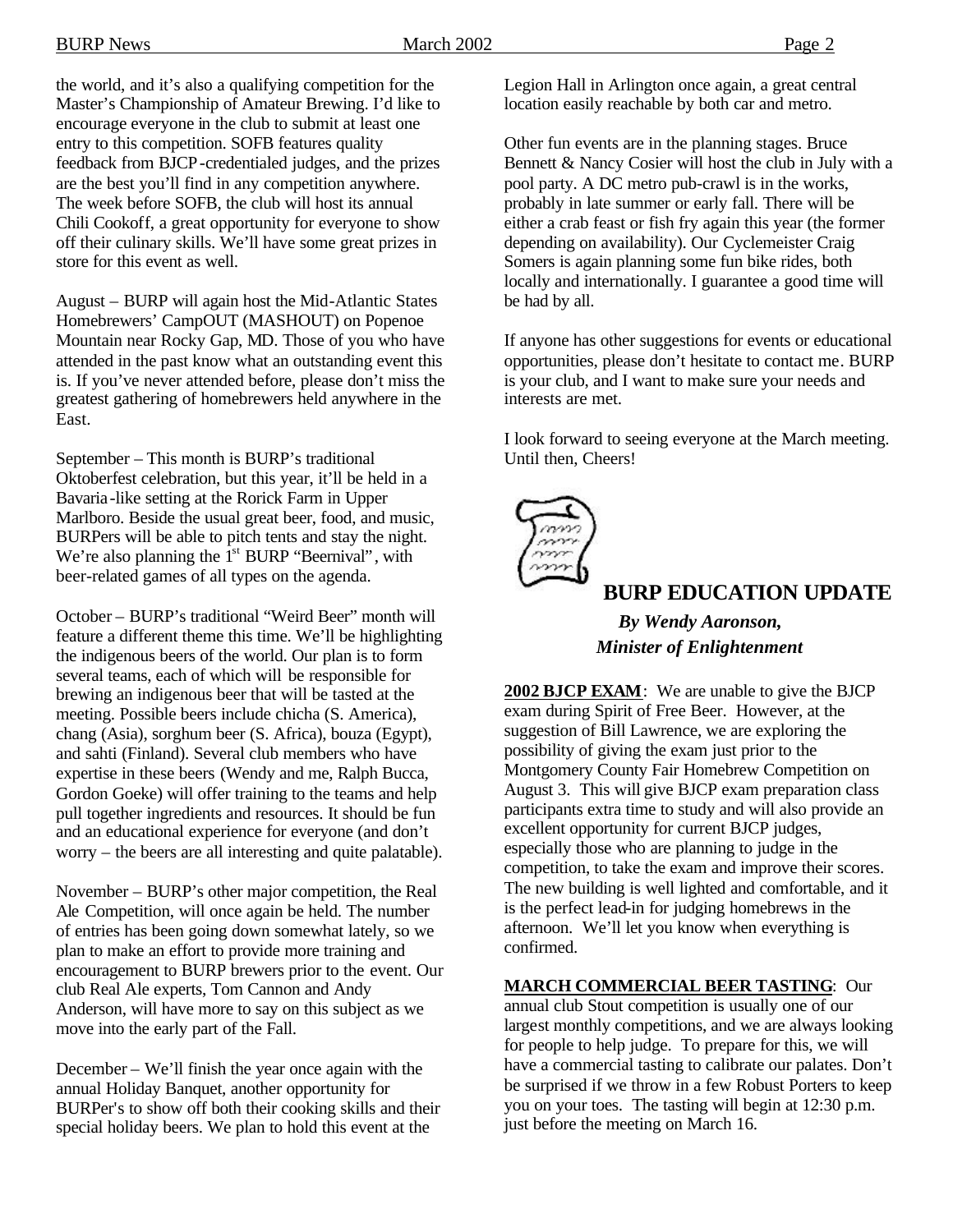the world, and it's also a qualifying competition for the Master's Championship of Amateur Brewing. I'd like to encourage everyone in the club to submit at least one entry to this competition. SOFB features quality feedback from BJCP-credentialed judges, and the prizes are the best you'll find in any competition anywhere. The week before SOFB, the club will host its annual Chili Cookoff, a great opportunity for everyone to show off their culinary skills. We'll have some great prizes in store for this event as well.

August – BURP will again host the Mid-Atlantic States Homebrewers' CampOUT (MASHOUT) on Popenoe Mountain near Rocky Gap, MD. Those of you who have attended in the past know what an outstanding event this is. If you've never attended before, please don't miss the greatest gathering of homebrewers held anywhere in the East.

September – This month is BURP's traditional Oktoberfest celebration, but this year, it'll be held in a Bavaria-like setting at the Rorick Farm in Upper Marlboro. Beside the usual great beer, food, and music, BURPers will be able to pitch tents and stay the night. We're also planning the  $1<sup>st</sup>$  BURP "Beernival", with beer-related games of all types on the agenda.

October – BURP's traditional "Weird Beer" month will feature a different theme this time. We'll be highlighting the indigenous beers of the world. Our plan is to form several teams, each of which will be responsible for brewing an indigenous beer that will be tasted at the meeting. Possible beers include chicha (S. America), chang (Asia), sorghum beer (S. Africa), bouza (Egypt), and sahti (Finland). Several club members who have expertise in these beers (Wendy and me, Ralph Bucca, Gordon Goeke) will offer training to the teams and help pull together ingredients and resources. It should be fun and an educational experience for everyone (and don't worry – the beers are all interesting and quite palatable).

November – BURP's other major competition, the Real Ale Competition, will once again be held. The number of entries has been going down somewhat lately, so we plan to make an effort to provide more training and encouragement to BURP brewers prior to the event. Our club Real Ale experts, Tom Cannon and Andy Anderson, will have more to say on this subject as we move into the early part of the Fall.

December – We'll finish the year once again with the annual Holiday Banquet, another opportunity for BURPer's to show off both their cooking skills and their special holiday beers. We plan to hold this event at the

Legion Hall in Arlington once again, a great central location easily reachable by both car and metro.

Other fun events are in the planning stages. Bruce Bennett & Nancy Cosier will host the club in July with a pool party. A DC metro pub-crawl is in the works, probably in late summer or early fall. There will be either a crab feast or fish fry again this year (the former depending on availability). Our Cyclemeister Craig Somers is again planning some fun bike rides, both locally and internationally. I guarantee a good time will be had by all.

If anyone has other suggestions for events or educational opportunities, please don't hesitate to contact me. BURP is your club, and I want to make sure your needs and interests are met.

I look forward to seeing everyone at the March meeting. Until then, Cheers!



### **BURP EDUCATION UPDATE**

*By Wendy Aaronson, Minister of Enlightenment*

**2002 BJCP EXAM**: We are unable to give the BJCP exam during Spirit of Free Beer. However, at the suggestion of Bill Lawrence, we are exploring the possibility of giving the exam just prior to the Montgomery County Fair Homebrew Competition on August 3. This will give BJCP exam preparation class participants extra time to study and will also provide an excellent opportunity for current BJCP judges, especially those who are planning to judge in the competition, to take the exam and improve their scores. The new building is well lighted and comfortable, and it is the perfect lead-in for judging homebrews in the afternoon. We'll let you know when everything is confirmed.

**MARCH COMMERCIAL BEER TASTING**: Our

annual club Stout competition is usually one of our largest monthly competitions, and we are always looking for people to help judge. To prepare for this, we will have a commercial tasting to calibrate our palates. Don't be surprised if we throw in a few Robust Porters to keep you on your toes. The tasting will begin at 12:30 p.m. just before the meeting on March 16.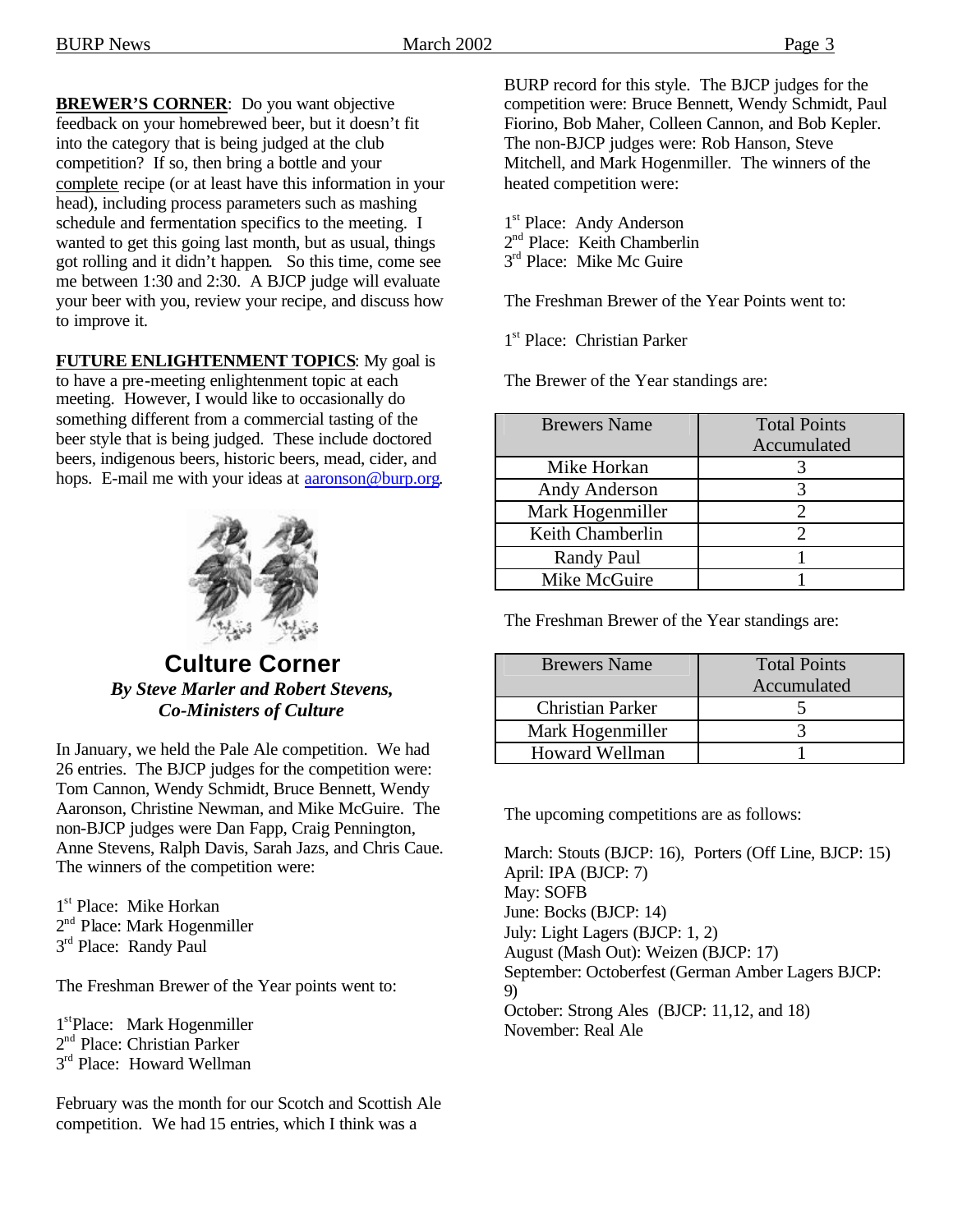**BREWER'S CORNER**: Do you want objective feedback on your homebrewed beer, but it doesn't fit into the category that is being judged at the club competition? If so, then bring a bottle and your complete recipe (or at least have this information in your head), including process parameters such as mashing schedule and fermentation specifics to the meeting. I wanted to get this going last month, but as usual, things got rolling and it didn't happen. So this time, come see me between 1:30 and 2:30. A BJCP judge will evaluate your beer with you, review your recipe, and discuss how to improve it.

**FUTURE ENLIGHTENMENT TOPICS**: My goal is to have a pre-meeting enlightenment topic at each meeting. However, I would like to occasionally do something different from a commercial tasting of the beer style that is being judged. These include doctored beers, indigenous beers, historic beers, mead, cider, and hops. E-mail me with your ideas at aaronson@burp.org.



**Culture Corner** *By Steve Marler and Robert Stevens, Co-Ministers of Culture*

In January, we held the Pale Ale competition. We had 26 entries. The BJCP judges for the competition were: Tom Cannon, Wendy Schmidt, Bruce Bennett, Wendy Aaronson, Christine Newman, and Mike McGuire. The non-BJCP judges were Dan Fapp, Craig Pennington, Anne Stevens, Ralph Davis, Sarah Jazs, and Chris Caue. The winners of the competition were:

- 1<sup>st</sup> Place: Mike Horkan
- 2<sup>nd</sup> Place: Mark Hogenmiller
- 3<sup>rd</sup> Place: Randy Paul

The Freshman Brewer of the Year points went to:

1 stPlace: Mark Hogenmiller 2<sup>nd</sup> Place: Christian Parker 3<sup>rd</sup> Place: Howard Wellman

February was the month for our Scotch and Scottish Ale competition. We had 15 entries, which I think was a

BURP record for this style. The BJCP judges for the competition were: Bruce Bennett, Wendy Schmidt, Paul Fiorino, Bob Maher, Colleen Cannon, and Bob Kepler. The non-BJCP judges were: Rob Hanson, Steve Mitchell, and Mark Hogenmiller. The winners of the heated competition were:

1<sup>st</sup> Place: Andy Anderson 2<sup>nd</sup> Place: Keith Chamberlin 3<sup>rd</sup> Place: Mike Mc Guire

The Freshman Brewer of the Year Points went to:

1<sup>st</sup> Place: Christian Parker

The Brewer of the Year standings are:

| <b>Brewers Name</b> | <b>Total Points</b> |
|---------------------|---------------------|
|                     | Accumulated         |
| Mike Horkan         |                     |
| Andy Anderson       |                     |
| Mark Hogenmiller    |                     |
| Keith Chamberlin    |                     |
| Randy Paul          |                     |
| Mike McGuire        |                     |

The Freshman Brewer of the Year standings are:

| <b>Brewers Name</b>     | <b>Total Points</b><br>Accumulated |
|-------------------------|------------------------------------|
| <b>Christian Parker</b> |                                    |
| Mark Hogenmiller        |                                    |
| <b>Howard Wellman</b>   |                                    |

The upcoming competitions are as follows:

March: Stouts (BJCP: 16), Porters (Off Line, BJCP: 15) April: IPA (BJCP: 7) May: SOFB June: Bocks (BJCP: 14) July: Light Lagers (BJCP: 1, 2) August (Mash Out): Weizen (BJCP: 17) September: Octoberfest (German Amber Lagers BJCP: 9) October: Strong Ales (BJCP: 11,12, and 18) November: Real Ale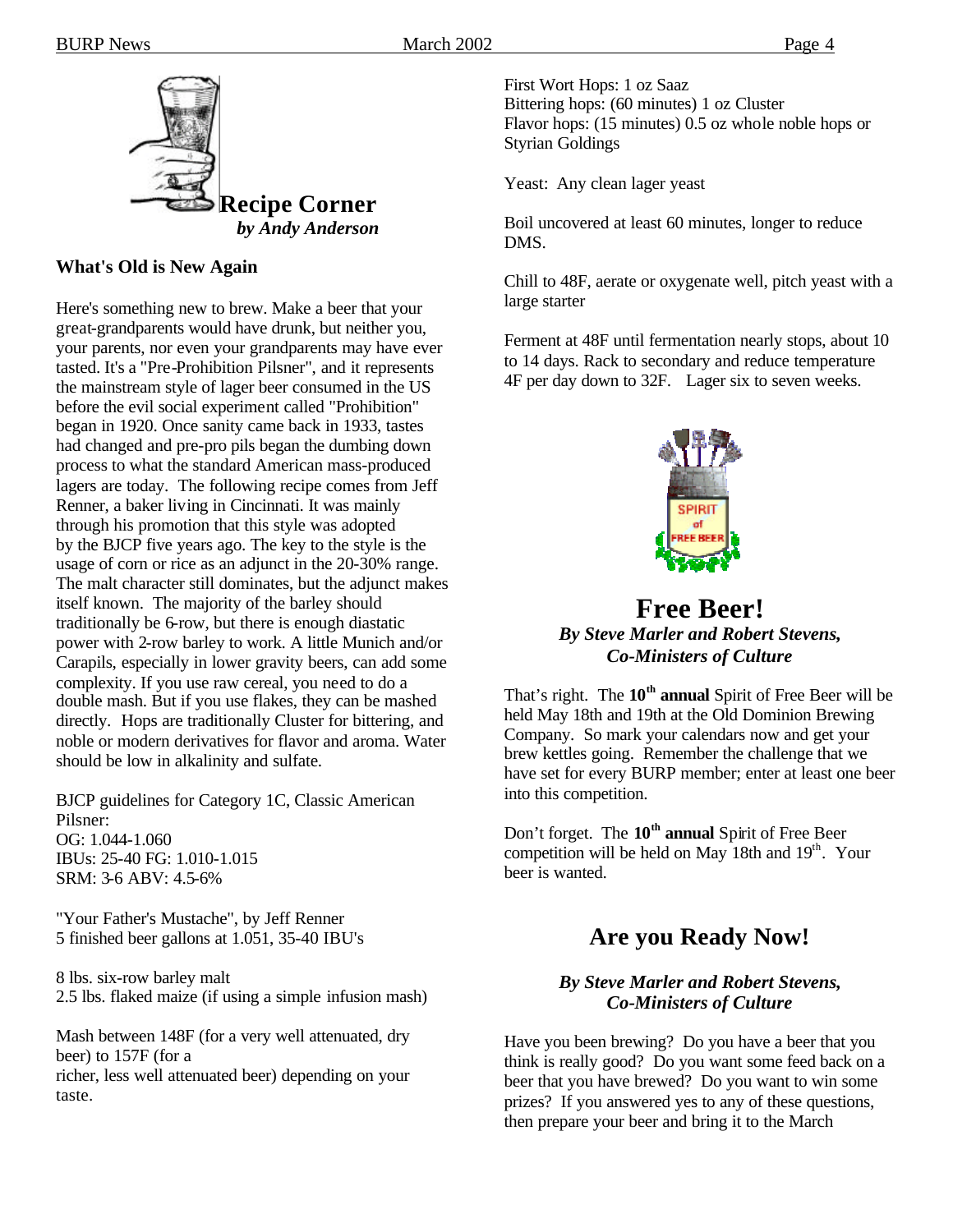

*by Andy Anderson*

#### **What's Old is New Again**

Here's something new to brew. Make a beer that your great-grandparents would have drunk, but neither you, your parents, nor even your grandparents may have ever tasted. It's a "Pre-Prohibition Pilsner", and it represents the mainstream style of lager beer consumed in the US before the evil social experiment called "Prohibition" began in 1920. Once sanity came back in 1933, tastes had changed and pre-pro pils began the dumbing down process to what the standard American mass-produced lagers are today. The following recipe comes from Jeff Renner, a baker living in Cincinnati. It was mainly through his promotion that this style was adopted by the BJCP five years ago. The key to the style is the usage of corn or rice as an adjunct in the 20-30% range. The malt character still dominates, but the adjunct makes itself known. The majority of the barley should traditionally be 6-row, but there is enough diastatic power with 2-row barley to work. A little Munich and/or Carapils, especially in lower gravity beers, can add some complexity. If you use raw cereal, you need to do a double mash. But if you use flakes, they can be mashed directly. Hops are traditionally Cluster for bittering, and noble or modern derivatives for flavor and aroma. Water should be low in alkalinity and sulfate.

BJCP guidelines for Category 1C, Classic American Pilsner: OG: 1.044-1.060 IBUs: 25-40 FG: 1.010-1.015 SRM: 3-6 ABV: 4.5-6%

"Your Father's Mustache", by Jeff Renner 5 finished beer gallons at 1.051, 35-40 IBU's

8 lbs. six-row barley malt 2.5 lbs. flaked maize (if using a simple infusion mash)

Mash between 148F (for a very well attenuated, dry beer) to 157F (for a richer, less well attenuated beer) depending on your taste.

First Wort Hops: 1 oz Saaz Bittering hops: (60 minutes) 1 oz Cluster Flavor hops: (15 minutes) 0.5 oz whole noble hops or Styrian Goldings

Yeast: Any clean lager yeast

Boil uncovered at least 60 minutes, longer to reduce DMS.

Chill to 48F, aerate or oxygenate well, pitch yeast with a large starter

Ferment at 48F until fermentation nearly stops, about 10 to 14 days. Rack to secondary and reduce temperature 4F per day down to 32F. Lager six to seven weeks.



### **Free Beer!** *By Steve Marler and Robert Stevens, Co-Ministers of Culture*

That's right. The **10th annual** Spirit of Free Beer will be held May 18th and 19th at the Old Dominion Brewing Company. So mark your calendars now and get your brew kettles going. Remember the challenge that we have set for every BURP member; enter at least one beer into this competition.

Don't forget. The **10th annual** Spirit of Free Beer competition will be held on May 18th and 19<sup>th</sup>. Your beer is wanted.

### **Are you Ready Now!**

#### *By Steve Marler and Robert Stevens, Co-Ministers of Culture*

Have you been brewing? Do you have a beer that you think is really good? Do you want some feed back on a beer that you have brewed? Do you want to win some prizes? If you answered yes to any of these questions, then prepare your beer and bring it to the March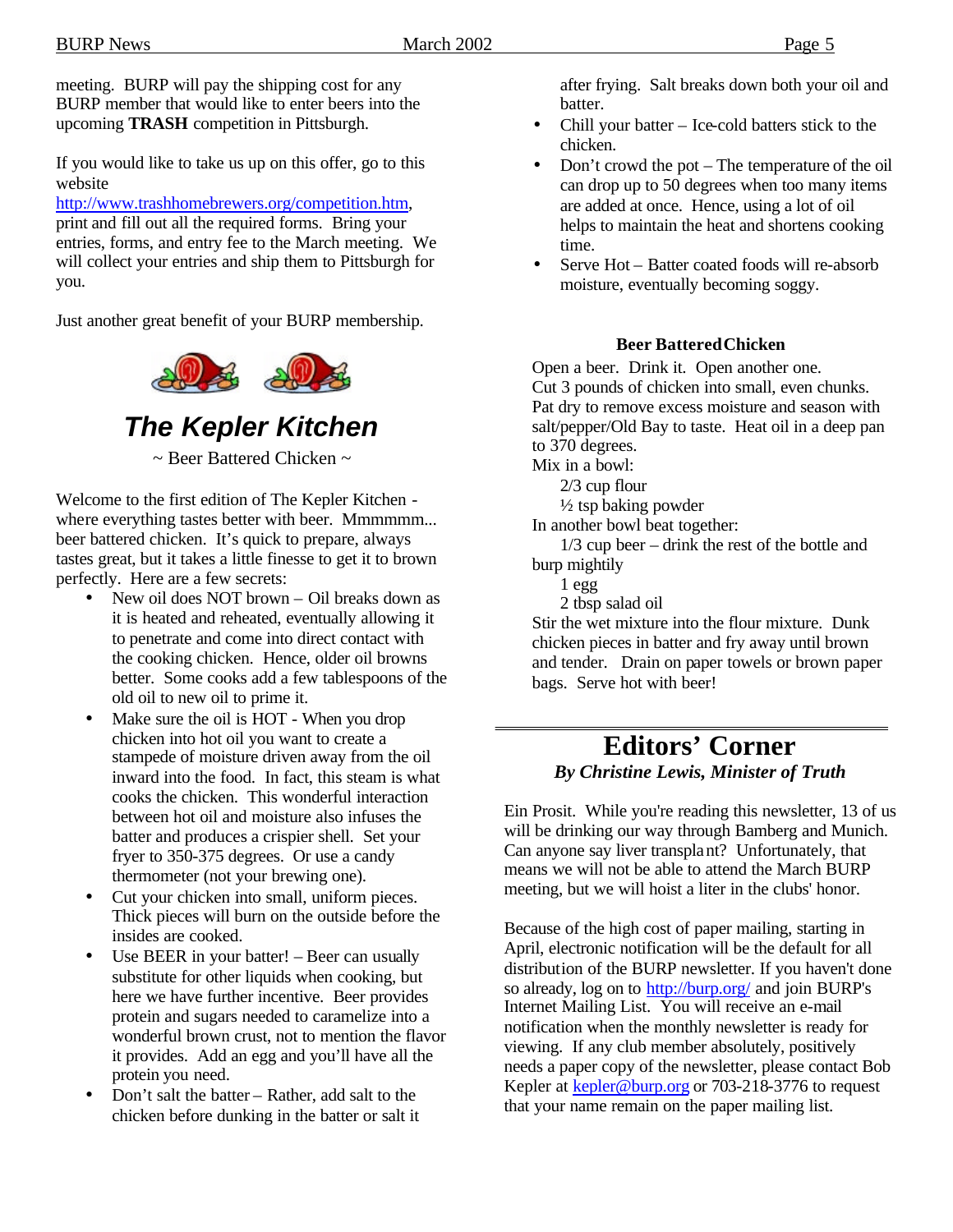meeting. BURP will pay the shipping cost for any BURP member that would like to enter beers into the upcoming **TRASH** competition in Pittsburgh.

If you would like to take us up on this offer, go to this website

http://www.trashhomebrewers.org/competition.htm, print and fill out all the required forms. Bring your entries, forms, and entry fee to the March meeting. We will collect your entries and ship them to Pittsburgh for you.

Just another great benefit of your BURP membership.



*The Kepler Kitchen*

~ Beer Battered Chicken ~

Welcome to the first edition of The Kepler Kitchen where everything tastes better with beer. Mmmmmm... beer battered chicken. It's quick to prepare, always tastes great, but it takes a little finesse to get it to brown perfectly. Here are a few secrets:

- New oil does NOT brown Oil breaks down as it is heated and reheated, eventually allowing it to penetrate and come into direct contact with the cooking chicken. Hence, older oil browns better. Some cooks add a few tablespoons of the old oil to new oil to prime it.
- Make sure the oil is HOT When you drop chicken into hot oil you want to create a stampede of moisture driven away from the oil inward into the food. In fact, this steam is what cooks the chicken. This wonderful interaction between hot oil and moisture also infuses the batter and produces a crispier shell. Set your fryer to 350-375 degrees. Or use a candy thermometer (not your brewing one).
- Cut your chicken into small, uniform pieces. Thick pieces will burn on the outside before the insides are cooked.
- Use BEER in your batter! Beer can usually substitute for other liquids when cooking, but here we have further incentive. Beer provides protein and sugars needed to caramelize into a wonderful brown crust, not to mention the flavor it provides. Add an egg and you'll have all the protein you need.
- Don't salt the batter Rather, add salt to the chicken before dunking in the batter or salt it

after frying. Salt breaks down both your oil and batter.

- Chill your batter Ice-cold batters stick to the chicken.
- Don't crowd the pot The temperature of the oil can drop up to 50 degrees when too many items are added at once. Hence, using a lot of oil helps to maintain the heat and shortens cooking time.
- Serve Hot Batter coated foods will re-absorb moisture, eventually becoming soggy.

#### **Beer Battered Chicken**

Open a beer. Drink it. Open another one. Cut 3 pounds of chicken into small, even chunks. Pat dry to remove excess moisture and season with salt/pepper/Old Bay to taste. Heat oil in a deep pan to 370 degrees.

Mix in a bowl:

2/3 cup flour

½ tsp baking powder

In another bowl beat together:

1/3 cup beer – drink the rest of the bottle and burp mightily

- 1 egg
- 2 tbsp salad oil

Stir the wet mixture into the flour mixture. Dunk chicken pieces in batter and fry away until brown and tender. Drain on paper towels or brown paper bags. Serve hot with beer!

## **Editors' Corner** *By Christine Lewis, Minister of Truth*

Ein Prosit. While you're reading this newsletter, 13 of us will be drinking our way through Bamberg and Munich. Can anyone say liver transplant? Unfortunately, that means we will not be able to attend the March BURP meeting, but we will hoist a liter in the clubs' honor.

Because of the high cost of paper mailing, starting in April, electronic notification will be the default for all distribution of the BURP newsletter. If you haven't done so already, log on to http://burp.org/ and join BURP's Internet Mailing List. You will receive an e-mail notification when the monthly newsletter is ready for viewing. If any club member absolutely, positively needs a paper copy of the newsletter, please contact Bob Kepler at kepler@burp.org or 703-218-3776 to request that your name remain on the paper mailing list.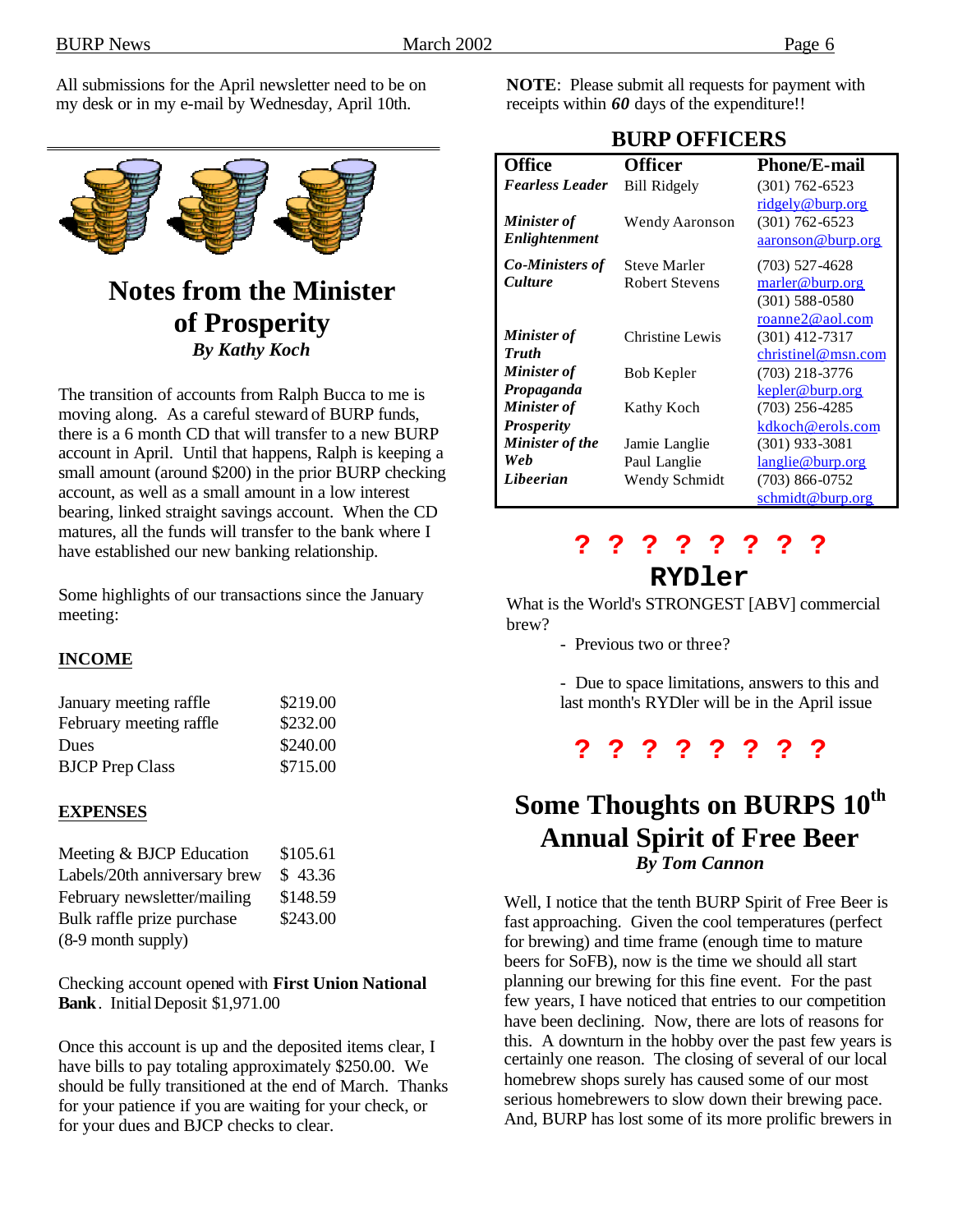All submissions for the April newsletter need to be on my desk or in my e-mail by Wednesday, April 10th.



# **Notes from the Minister of Prosperity** *By Kathy Koch*

The transition of accounts from Ralph Bucca to me is moving along. As a careful steward of BURP funds, there is a 6 month CD that will transfer to a new BURP account in April. Until that happens, Ralph is keeping a small amount (around \$200) in the prior BURP checking account, as well as a small amount in a low interest bearing, linked straight savings account. When the CD matures, all the funds will transfer to the bank where I have established our new banking relationship.

Some highlights of our transactions since the January meeting:

#### **INCOME**

| \$219.00 |
|----------|
| \$232.00 |
| \$240.00 |
| \$715.00 |
|          |

#### **EXPENSES**

| Meeting & BJCP Education     | \$105.61 |
|------------------------------|----------|
| Labels/20th anniversary brew | \$43.36  |
| February newsletter/mailing  | \$148.59 |
| Bulk raffle prize purchase   | \$243.00 |
| (8-9 month supply)           |          |

Checking account opened with **First Union National Bank**. InitialDeposit \$1,971.00

Once this account is up and the deposited items clear, I have bills to pay totaling approximately \$250.00. We should be fully transitioned at the end of March. Thanks for your patience if you are waiting for your check, or for your dues and BJCP checks to clear.

**NOTE**: Please submit all requests for payment with receipts within *60* days of the expenditure!!

**BURP OFFICERS**

| <b>Office</b>          | Officer             | <b>Phone/E-mail</b>     |
|------------------------|---------------------|-------------------------|
| <b>Fearless Leader</b> | <b>Bill Ridgely</b> | $(301) 762 - 6523$      |
|                        |                     | ridgely@burp.org        |
| <b>Minister</b> of     | Wendy Aaronson      | $(301) 762 - 6523$      |
| Enlightenment          |                     | aaronson@burp.org       |
| <b>Co-Ministers of</b> | <b>Steve Marler</b> | $(703)$ 527-4628        |
| <b>Culture</b>         | Robert Stevens      | marler@burp.org         |
|                        |                     | $(301)$ 588-0580        |
|                        |                     | roanne2@aol.com         |
| <b>Minister</b> of     | Christine Lewis     | $(301)$ 412-7317        |
| <b>Truth</b>           |                     | christinel@msn.com      |
| <b>Minister of</b>     | Bob Kepler          | $(703)$ 218-3776        |
| Propaganda             |                     | kepler@burp.org         |
| <b>Minister</b> of     | Kathy Koch          | $(703)$ 256-4285        |
| <b>Prosperity</b>      |                     | kdkoch@erols.com        |
| Minister of the        | Jamie Langlie       | $(301)$ 933-3081        |
| Web                    | Paul Langlie        | <u>langlie@burp.org</u> |
| Libeerian              | Wendy Schmidt       | $(703)$ 866-0752        |
|                        |                     | schmidt@burp.org        |

# **? ? ? ? ? ? ? ?**

### **RYDler**

What is the World's STRONGEST [ABV] commercial brew?

- Previous two or three?

- Due to space limitations, answers to this and last month's RYDler will be in the April issue

# **? ? ? ? ? ? ? ?**

# **Some Thoughts on BURPS 10th Annual Spirit of Free Beer** *By Tom Cannon*

Well, I notice that the tenth BURP Spirit of Free Beer is fast approaching. Given the cool temperatures (perfect for brewing) and time frame (enough time to mature beers for SoFB), now is the time we should all start planning our brewing for this fine event. For the past few years, I have noticed that entries to our competition have been declining. Now, there are lots of reasons for this. A downturn in the hobby over the past few years is certainly one reason. The closing of several of our local homebrew shops surely has caused some of our most serious homebrewers to slow down their brewing pace. And, BURP has lost some of its more prolific brewers in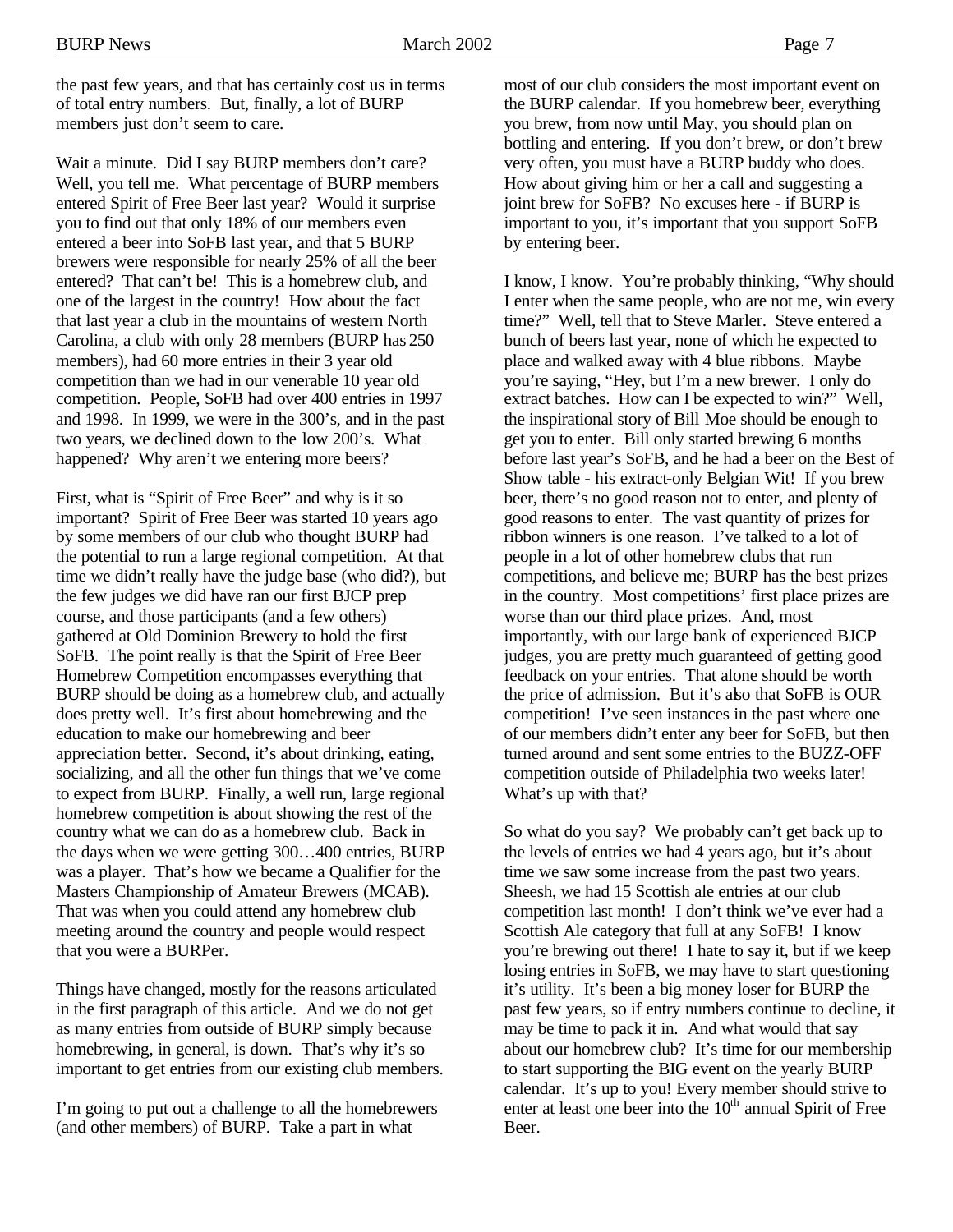the past few years, and that has certainly cost us in terms of total entry numbers. But, finally, a lot of BURP members just don't seem to care.

Wait a minute. Did I say BURP members don't care? Well, you tell me. What percentage of BURP members entered Spirit of Free Beer last year? Would it surprise you to find out that only 18% of our members even entered a beer into SoFB last year, and that 5 BURP brewers were responsible for nearly 25% of all the beer entered? That can't be! This is a homebrew club, and one of the largest in the country! How about the fact that last year a club in the mountains of western North Carolina, a club with only 28 members (BURP has 250 members), had 60 more entries in their 3 year old competition than we had in our venerable 10 year old competition. People, SoFB had over 400 entries in 1997 and 1998. In 1999, we were in the 300's, and in the past two years, we declined down to the low 200's. What happened? Why aren't we entering more beers?

First, what is "Spirit of Free Beer" and why is it so important? Spirit of Free Beer was started 10 years ago by some members of our club who thought BURP had the potential to run a large regional competition. At that time we didn't really have the judge base (who did?), but the few judges we did have ran our first BJCP prep course, and those participants (and a few others) gathered at Old Dominion Brewery to hold the first SoFB. The point really is that the Spirit of Free Beer Homebrew Competition encompasses everything that BURP should be doing as a homebrew club, and actually does pretty well. It's first about homebrewing and the education to make our homebrewing and beer appreciation better. Second, it's about drinking, eating, socializing, and all the other fun things that we've come to expect from BURP. Finally, a well run, large regional homebrew competition is about showing the rest of the country what we can do as a homebrew club. Back in the days when we were getting 300…400 entries, BURP was a player. That's how we became a Qualifier for the Masters Championship of Amateur Brewers (MCAB). That was when you could attend any homebrew club meeting around the country and people would respect that you were a BURPer.

Things have changed, mostly for the reasons articulated in the first paragraph of this article. And we do not get as many entries from outside of BURP simply because homebrewing, in general, is down. That's why it's so important to get entries from our existing club members.

I'm going to put out a challenge to all the homebrewers (and other members) of BURP. Take a part in what

most of our club considers the most important event on the BURP calendar. If you homebrew beer, everything you brew, from now until May, you should plan on bottling and entering. If you don't brew, or don't brew very often, you must have a BURP buddy who does. How about giving him or her a call and suggesting a joint brew for SoFB? No excuses here - if BURP is important to you, it's important that you support SoFB by entering beer.

I know, I know. You're probably thinking, "Why should I enter when the same people, who are not me, win every time?" Well, tell that to Steve Marler. Steve entered a bunch of beers last year, none of which he expected to place and walked away with 4 blue ribbons. Maybe you're saying, "Hey, but I'm a new brewer. I only do extract batches. How can I be expected to win?" Well, the inspirational story of Bill Moe should be enough to get you to enter. Bill only started brewing 6 months before last year's SoFB, and he had a beer on the Best of Show table - his extract-only Belgian Wit! If you brew beer, there's no good reason not to enter, and plenty of good reasons to enter. The vast quantity of prizes for ribbon winners is one reason. I've talked to a lot of people in a lot of other homebrew clubs that run competitions, and believe me; BURP has the best prizes in the country. Most competitions' first place prizes are worse than our third place prizes. And, most importantly, with our large bank of experienced BJCP judges, you are pretty much guaranteed of getting good feedback on your entries. That alone should be worth the price of admission. But it's also that SoFB is OUR competition! I've seen instances in the past where one of our members didn't enter any beer for SoFB, but then turned around and sent some entries to the BUZZ-OFF competition outside of Philadelphia two weeks later! What's up with that?

So what do you say? We probably can't get back up to the levels of entries we had 4 years ago, but it's about time we saw some increase from the past two years. Sheesh, we had 15 Scottish ale entries at our club competition last month! I don't think we've ever had a Scottish Ale category that full at any SoFB! I know you're brewing out there! I hate to say it, but if we keep losing entries in SoFB, we may have to start questioning it's utility. It's been a big money loser for BURP the past few years, so if entry numbers continue to decline, it may be time to pack it in. And what would that say about our homebrew club? It's time for our membership to start supporting the BIG event on the yearly BURP calendar. It's up to you! Every member should strive to enter at least one beer into the  $10<sup>th</sup>$  annual Spirit of Free Beer.